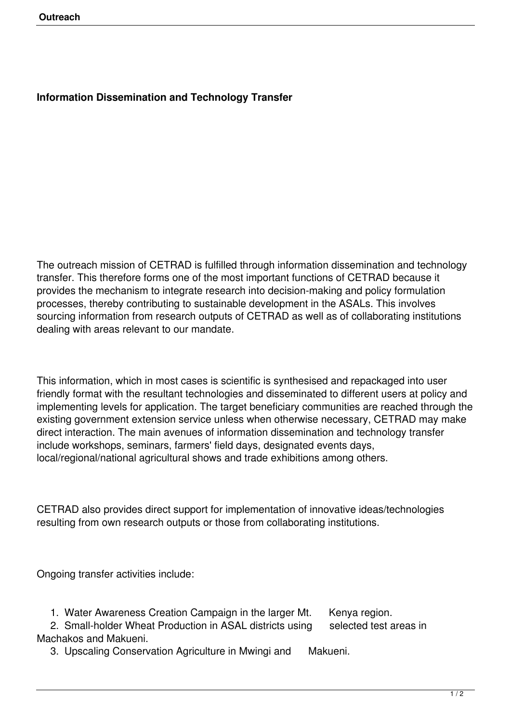## **Information Dissemination and Technology Transfer**

The outreach mission of CETRAD is fulfilled through information dissemination and technology transfer. This therefore forms one of the most important functions of CETRAD because it provides the mechanism to integrate research into decision-making and policy formulation processes, thereby contributing to sustainable development in the ASALs. This involves sourcing information from research outputs of CETRAD as well as of collaborating institutions dealing with areas relevant to our mandate.

This information, which in most cases is scientific is synthesised and repackaged into user friendly format with the resultant technologies and disseminated to different users at policy and implementing levels for application. The target beneficiary communities are reached through the existing government extension service unless when otherwise necessary, CETRAD may make direct interaction. The main avenues of information dissemination and technology transfer include workshops, seminars, farmers' field days, designated events days, local/regional/national agricultural shows and trade exhibitions among others.

CETRAD also provides direct support for implementation of innovative ideas/technologies resulting from own research outputs or those from collaborating institutions.

Ongoing transfer activities include:

1. Water Awareness Creation Campaign in the larger Mt. Kenya region.

2. Small-holder Wheat Production in ASAL districts using selected test areas in Machakos and Makueni.

3. Upscaling Conservation Agriculture in Mwingi and Makueni.